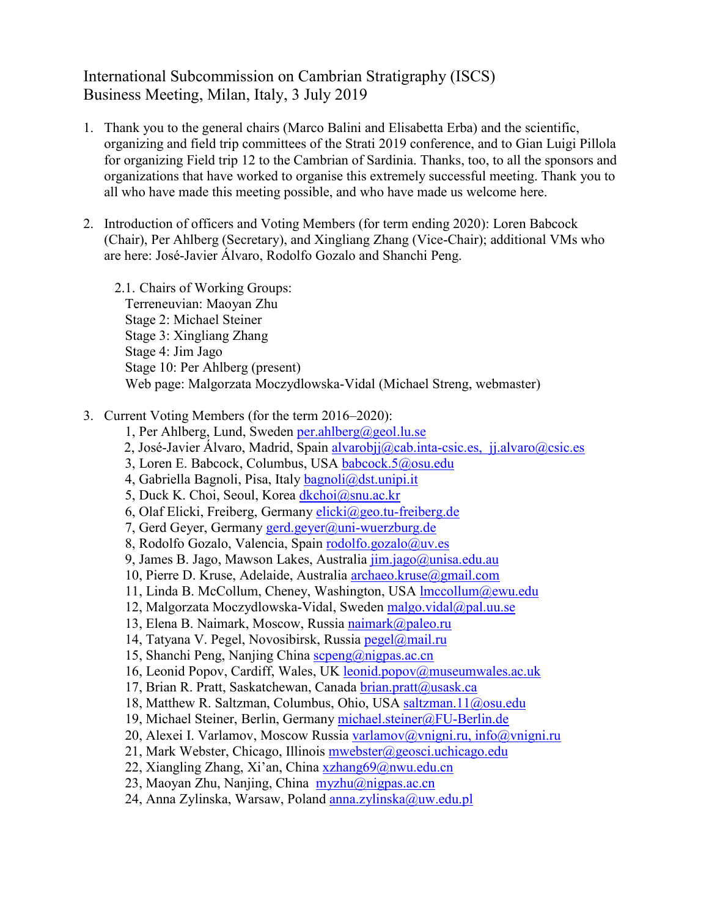#### International Subcommission on Cambrian Stratigraphy (ISCS) Business Meeting, Milan, Italy, 3 July 2019

- 1. Thank you to the general chairs (Marco Balini and Elisabetta Erba) and the scientific, organizing and field trip committees of the Strati 2019 conference, and to Gian Luigi Pillola for organizing Field trip 12 to the Cambrian of Sardinia. Thanks, too, to all the sponsors and organizations that have worked to organise this extremely successful meeting. Thank you to all who have made this meeting possible, and who have made us welcome here.
- 2. Introduction of officers and Voting Members (for term ending 2020): Loren Babcock (Chair), Per Ahlberg (Secretary), and Xingliang Zhang (Vice-Chair); additional VMs who are here: José-Javier Álvaro, Rodolfo Gozalo and Shanchi Peng.
	- 2.1. Chairs of Working Groups: Terreneuvian: Maoyan Zhu Stage 2: Michael Steiner Stage 3: Xingliang Zhang Stage 4: Jim Jago Stage 10: Per Ahlberg (present) Web page: Malgorzata Moczydlowska-Vidal (Michael Streng, webmaster)
- 3. Current Voting Members (for the term 2016–2020):
	- 1, Per Ahlberg, Lund, Sweden [per.ahlberg@geol.lu.se](mailto:per.ahlberg@geol.lu.se)
	- 2, José-Javier Álvaro, Madrid, Spain alvarobij@cab.inta-csic.es, [jj.alvaro@csic.es](mailto:jj.alvaro@csic.es)
	- 3, Loren E. Babcock, Columbus, USA [babcock.5@osu.edu](mailto:babcock.5@osu.edu)
	- 4, Gabriella Bagnoli, Pisa, Italy [bagnoli@dst.unipi.it](mailto:bagnoli@dst.unipi.it)
	- 5, Duck K. Choi, Seoul, Korea [dkchoi@snu.ac.kr](mailto:dkchoi@snu.ac.kr)
	- 6, Olaf Elicki, Freiberg, Germany [elicki@geo.tu-freiberg.de](mailto:elicki@geo.tu-freiberg.de)
	- 7, Gerd Geyer, Germany [gerd.geyer@uni-wuerzburg.de](mailto:gerd.geyer@uni-wuerzburg.de)
	- 8, Rodolfo Gozalo, Valencia, Spain [rodolfo.gozalo@uv.es](mailto:rodolfo.gozalo@uv.es)
	- 9, James B. Jago, Mawson Lakes, Australia [jim.jago@unisa.edu.au](mailto:jim.jago@unisa.edu.au)
	- 10, Pierre D. Kruse, Adelaide, Australia [archaeo.kruse@gmail.com](mailto:archaeo.kruse@gmail.com)
	- 11, Linda B. McCollum, Cheney, Washington, USA [lmccollum@ewu.edu](mailto:lmccollum@ewu.edu)
	- 12, Malgorzata Moczydlowska-Vidal, Sweden [malgo.vidal@pal.uu.se](mailto:malgo.vidal@pal.uu.se)
	- 13, Elena B. Naimark, Moscow, Russia [naimark@paleo.ru](mailto:naimark@paleo.ru)
	- 14, Tatyana V. Pegel, Novosibirsk, Russia [pegel@mail.ru](mailto:pegel@mail.ru)
	- 15, Shanchi Peng, Nanjing China [scpeng@nigpas.ac.cn](mailto:scpeng@nigpas.ac.cn)
	- 16, Leonid Popov, Cardiff, Wales, UK leonid.popov@museumwales.ac.uk
	- 17, Brian R. Pratt, Saskatchewan, Canada [brian.pratt@usask.ca](mailto:brian.pratt@usask.ca)
	- 18, Matthew R. Saltzman, Columbus, Ohio, USA [saltzman.11@osu.edu](mailto:saltzman.11@osu.edu)
	- 19, Michael Steiner, Berlin, Germany [michael.steiner@FU-Berlin.de](mailto:michael.steiner@FU-Berlin.de)
	- 20, Alexei I. Varlamov, Moscow Russia [varlamov@vnigni.ru,](mailto:varlamov@vnigni.ru) [info@vnigni.ru](mailto:info@vnigni.ru)
	- 21, Mark Webster, Chicago, Illinois [mwebster@geosci.uchicago.edu](mailto:mwebster@geosci.uchicago.edu)
	- 22, Xiangling Zhang, Xi'an, China [xzhang69@nwu.edu.cn](mailto:xzhang69@nwu.edu.cn)
	- 23, Maoyan Zhu, Nanjing, China [myzhu@nigpas.ac.cn](mailto:myzhu@nigpas.ac.cn)
	- 24, Anna Zylinska, Warsaw, Poland [anna.zylinska@uw.edu.pl](mailto:anna.zylinska@uw.edu.pl)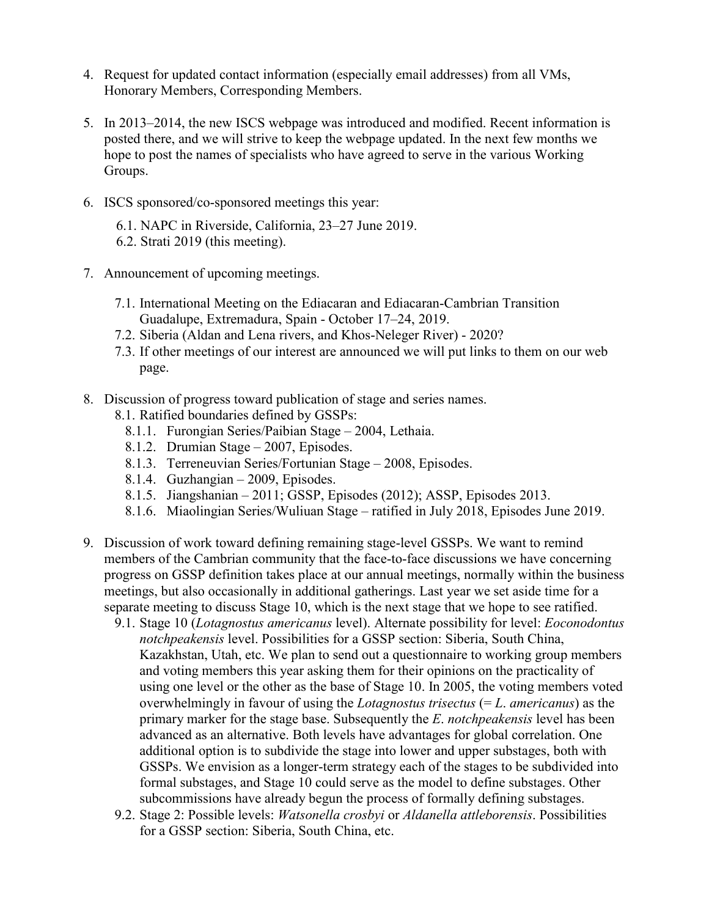- 4. Request for updated contact information (especially email addresses) from all VMs, Honorary Members, Corresponding Members.
- 5. In 2013–2014, the new ISCS webpage was introduced and modified. Recent information is posted there, and we will strive to keep the webpage updated. In the next few months we hope to post the names of specialists who have agreed to serve in the various Working Groups.
- 6. ISCS sponsored/co-sponsored meetings this year:
	- 6.1. NAPC in Riverside, California, 23–27 June 2019. 6.2. Strati 2019 (this meeting).
	-
- 7. Announcement of upcoming meetings.
	- 7.1. International Meeting on the Ediacaran and Ediacaran-Cambrian Transition Guadalupe, Extremadura, Spain - October 17–24, 2019.
	- 7.2. Siberia (Aldan and Lena rivers, and Khos-Neleger River) 2020?
	- 7.3. If other meetings of our interest are announced we will put links to them on our web page.
- 8. Discussion of progress toward publication of stage and series names.
	- 8.1. Ratified boundaries defined by GSSPs:
		- 8.1.1. Furongian Series/Paibian Stage 2004, Lethaia.
		- 8.1.2. Drumian Stage 2007, Episodes.
		- 8.1.3. Terreneuvian Series/Fortunian Stage 2008, Episodes.
		- 8.1.4. Guzhangian 2009, Episodes.
		- 8.1.5. Jiangshanian 2011; GSSP, Episodes (2012); ASSP, Episodes 2013.
		- 8.1.6. Miaolingian Series/Wuliuan Stage ratified in July 2018, Episodes June 2019.
- 9. Discussion of work toward defining remaining stage-level GSSPs. We want to remind members of the Cambrian community that the face-to-face discussions we have concerning progress on GSSP definition takes place at our annual meetings, normally within the business meetings, but also occasionally in additional gatherings. Last year we set aside time for a separate meeting to discuss Stage 10, which is the next stage that we hope to see ratified.
	- 9.1. Stage 10 (*Lotagnostus americanus* level). Alternate possibility for level: *Eoconodontus notchpeakensis* level. Possibilities for a GSSP section: Siberia, South China, Kazakhstan, Utah, etc. We plan to send out a questionnaire to working group members and voting members this year asking them for their opinions on the practicality of using one level or the other as the base of Stage 10. In 2005, the voting members voted overwhelmingly in favour of using the *Lotagnostus trisectus* (= *L*. *americanus*) as the primary marker for the stage base. Subsequently the *E*. *notchpeakensis* level has been advanced as an alternative. Both levels have advantages for global correlation. One additional option is to subdivide the stage into lower and upper substages, both with GSSPs. We envision as a longer-term strategy each of the stages to be subdivided into formal substages, and Stage 10 could serve as the model to define substages. Other subcommissions have already begun the process of formally defining substages.
	- 9.2. Stage 2: Possible levels: *Watsonella crosbyi* or *Aldanella attleborensis*. Possibilities for a GSSP section: Siberia, South China, etc.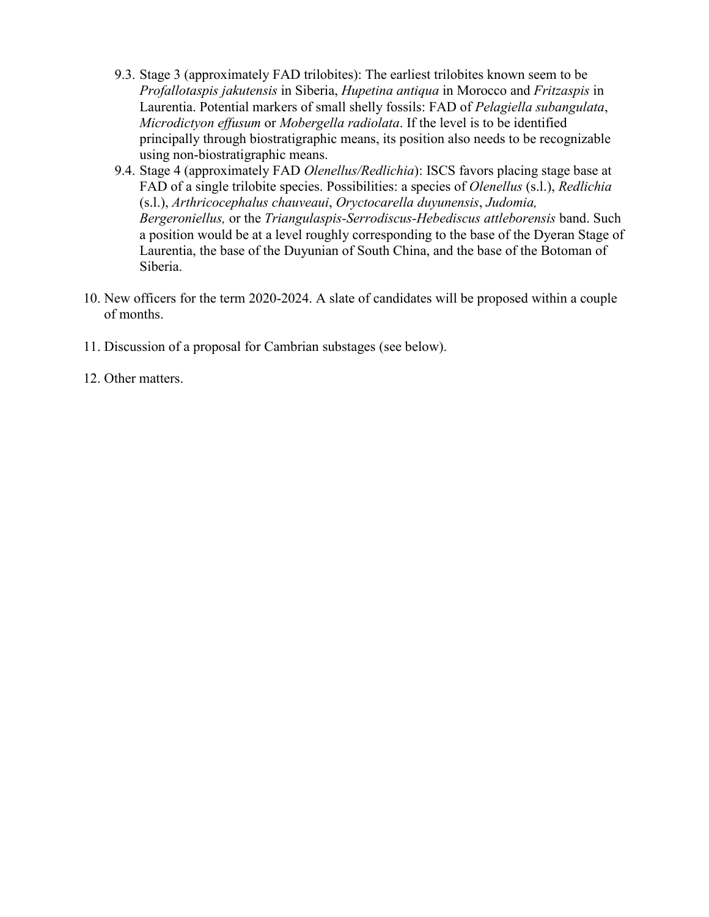- 9.3. Stage 3 (approximately FAD trilobites): The earliest trilobites known seem to be *Profallotaspis jakutensis* in Siberia, *Hupetina antiqua* in Morocco and *Fritzaspis* in Laurentia. Potential markers of small shelly fossils: FAD of *Pelagiella subangulata*, *Microdictyon effusum* or *Mobergella radiolata*. If the level is to be identified principally through biostratigraphic means, its position also needs to be recognizable using non-biostratigraphic means.
- 9.4. Stage 4 (approximately FAD *Olenellus/Redlichia*): ISCS favors placing stage base at FAD of a single trilobite species. Possibilities: a species of *Olenellus* (s.l.), *Redlichia* (s.l.), *Arthricocephalus chauveaui*, *Oryctocarella duyunensis*, *Judomia, Bergeroniellus,* or the *Triangulaspis-Serrodiscus-Hebediscus attleborensis* band. Such a position would be at a level roughly corresponding to the base of the Dyeran Stage of Laurentia, the base of the Duyunian of South China, and the base of the Botoman of Siberia.
- 10. New officers for the term 2020-2024. A slate of candidates will be proposed within a couple of months.
- 11. Discussion of a proposal for Cambrian substages (see below).
- 12. Other matters.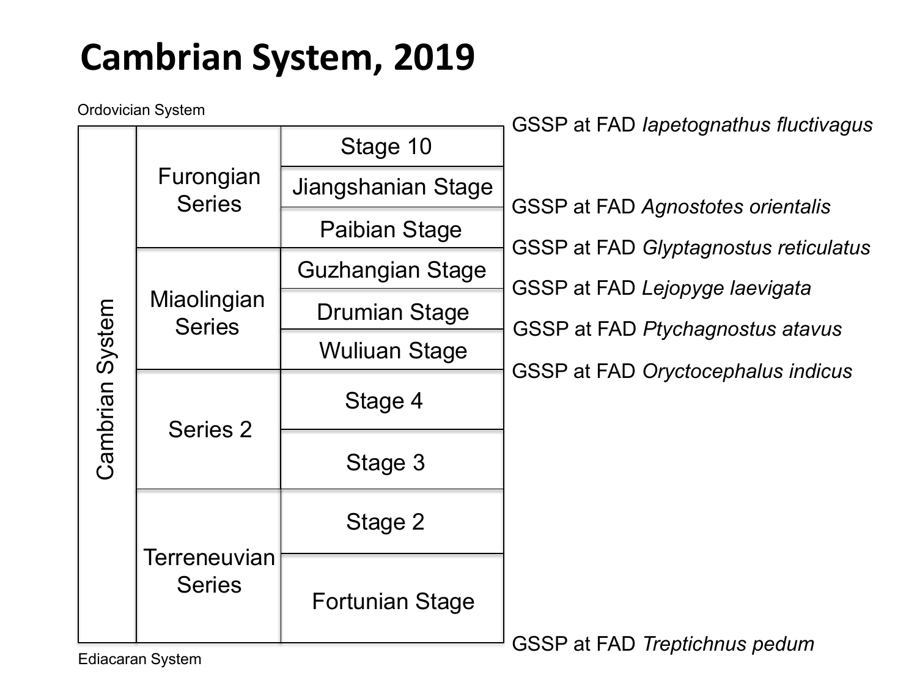### **Cambrian System, 2019**

Ordovician System

|                 | υιμυνισιαιι σγδισιτι          |                        | GSSP at FAD lapetognathus fluctivagus                                   |  |
|-----------------|-------------------------------|------------------------|-------------------------------------------------------------------------|--|
| Cambrian System | Furongian<br><b>Series</b>    | Stage 10               |                                                                         |  |
|                 |                               | Jiangshanian Stage     | <b>GSSP at FAD Agnostotes orientalis</b>                                |  |
|                 |                               | Paibian Stage          |                                                                         |  |
|                 | Miaolingian<br><b>Series</b>  | Guzhangian Stage       | GSSP at FAD Glyptagnostus reticulatus<br>GSSP at FAD Lejopyge laevigata |  |
|                 |                               | Drumian Stage          |                                                                         |  |
|                 |                               | Wuliuan Stage          | GSSP at FAD Ptychagnostus atavus                                        |  |
|                 | Series 2                      | Stage 4                | GSSP at FAD Oryctocephalus indicus                                      |  |
|                 |                               | Stage 3                |                                                                         |  |
|                 | Terreneuvian<br><b>Series</b> | Stage 2                |                                                                         |  |
|                 |                               | <b>Fortunian Stage</b> | GSSP at FAD Treptichnus pedum                                           |  |
|                 |                               |                        |                                                                         |  |

Ediacaran System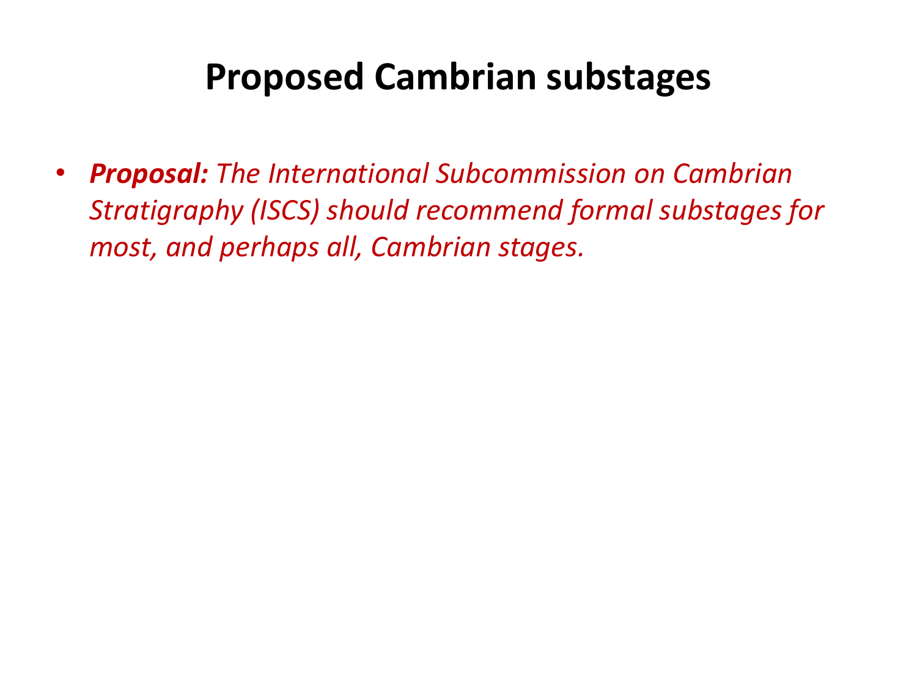#### **Proposed Cambrian substages**

• *Proposal: The International Subcommission on Cambrian Stratigraphy (ISCS) should recommend formal substages for most, and perhaps all, Cambrian stages.*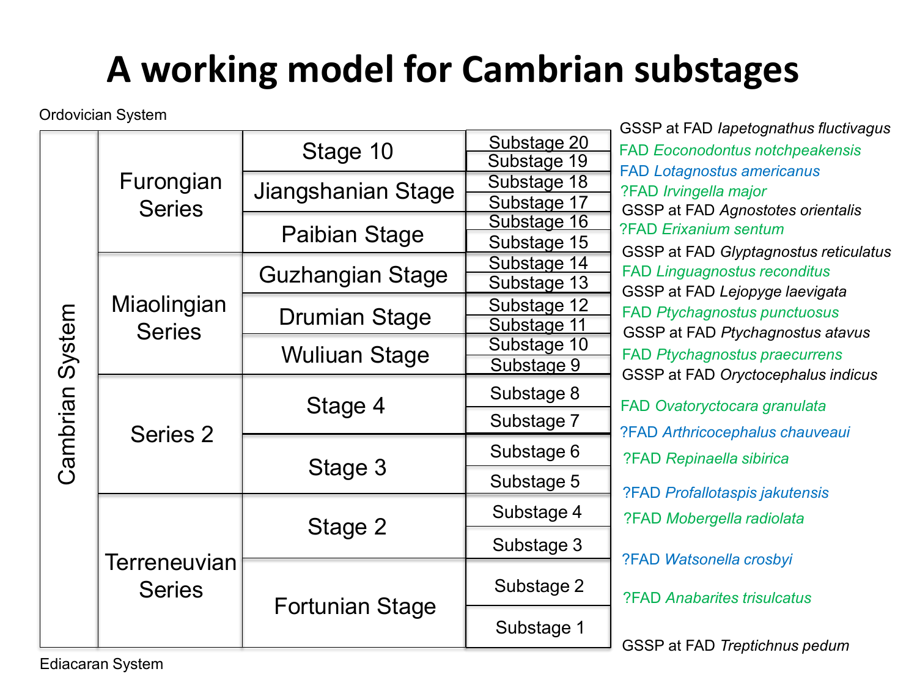## **A working model for Cambrian substages**

| <b>Ordovician System</b><br>GSSP at FAD lapetognathus fluctivagus |                               |                        |             |                                        |  |
|-------------------------------------------------------------------|-------------------------------|------------------------|-------------|----------------------------------------|--|
|                                                                   | Furongian<br><b>Series</b>    | Stage 10               | Substage 20 | <b>FAD Eoconodontus notchpeakensis</b> |  |
|                                                                   |                               |                        | Substage 19 | <b>FAD Lotagnostus americanus</b>      |  |
|                                                                   |                               | Jiangshanian Stage     | Substage 18 | ?FAD Irvingella major                  |  |
|                                                                   |                               |                        | Substage 17 | GSSP at FAD Agnostotes orientalis      |  |
|                                                                   |                               | Paibian Stage          | Substage 16 | ?FAD Erixanium sentum                  |  |
|                                                                   |                               |                        | Substage 15 | GSSP at FAD Glyptagnostus reticulatus  |  |
|                                                                   |                               | Guzhangian Stage       | Substage 14 | <b>FAD Linguagnostus reconditus</b>    |  |
|                                                                   |                               |                        | Substage 13 | GSSP at FAD Lejopyge laevigata         |  |
| Cambrian System                                                   | Miaolingian<br><b>Series</b>  | <b>Drumian Stage</b>   | Substage 12 | <b>FAD Ptychagnostus punctuosus</b>    |  |
|                                                                   |                               |                        | Substage 11 | GSSP at FAD Ptychagnostus atavus       |  |
|                                                                   |                               | <b>Wuliuan Stage</b>   | Substage 10 | <b>FAD Ptychagnostus praecurrens</b>   |  |
|                                                                   |                               |                        | Substage 9  | GSSP at FAD Oryctocephalus indicus     |  |
|                                                                   | Series 2                      | Stage 4                | Substage 8  | FAD Ovatoryctocara granulata           |  |
|                                                                   |                               |                        | Substage 7  | ?FAD Arthricocephalus chauveaui        |  |
|                                                                   |                               | Stage 3                | Substage 6  | ?FAD Repinaella sibirica               |  |
|                                                                   |                               |                        | Substage 5  |                                        |  |
|                                                                   | Terreneuvian<br><b>Series</b> |                        |             | ?FAD Profallotaspis jakutensis         |  |
|                                                                   |                               | Stage 2                | Substage 4  | ?FAD Mobergella radiolata              |  |
|                                                                   |                               |                        | Substage 3  |                                        |  |
|                                                                   |                               | <b>Fortunian Stage</b> |             | ?FAD Watsonella crosbyi                |  |
|                                                                   |                               |                        | Substage 2  | <b>?FAD Anabarites trisulcatus</b>     |  |
|                                                                   |                               |                        | Substage 1  |                                        |  |
|                                                                   |                               |                        |             | GSSP at FAD Treptichnus pedum          |  |

GSSP at FAD *Treptichnus pedum*

Ediacaran System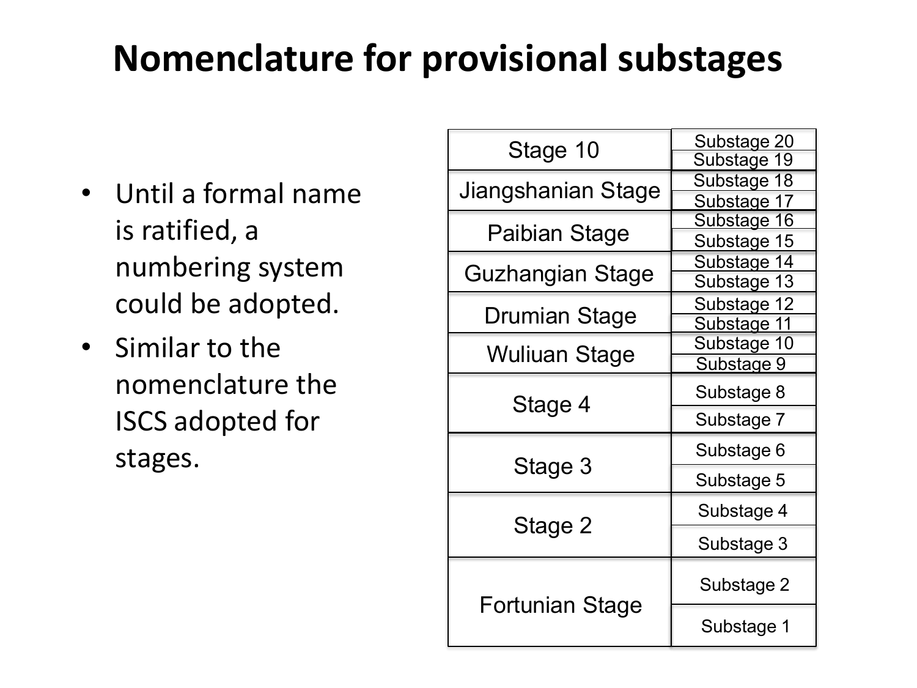### **Nomenclature for provisional substages**

- Until a formal name is ratified, a numbering system could be adopted.
- Similar to the nomenclature the ISCS adopted for stages.

| Stage 10               | Substage 20<br>Substage 19 |  |  |
|------------------------|----------------------------|--|--|
|                        | Substage 18                |  |  |
| Jiangshanian Stage     | Substage 17                |  |  |
|                        | <u>Substage 16</u>         |  |  |
| Paibian Stage          | Substage 15                |  |  |
|                        | Substage 14                |  |  |
| Guzhangian Stage       | Substage 13                |  |  |
|                        | Substage 12                |  |  |
| Drumian Stage          | Substage 11                |  |  |
| <b>Wuliuan Stage</b>   | Substage 10                |  |  |
|                        | Substage 9                 |  |  |
| Stage 4                | Substage 8                 |  |  |
|                        | Substage 7                 |  |  |
|                        | Substage 6                 |  |  |
| Stage 3                | Substage 5                 |  |  |
|                        | Substage 4                 |  |  |
| Stage 2                | Substage 3                 |  |  |
|                        | Substage 2                 |  |  |
| <b>Fortunian Stage</b> | Substage 1                 |  |  |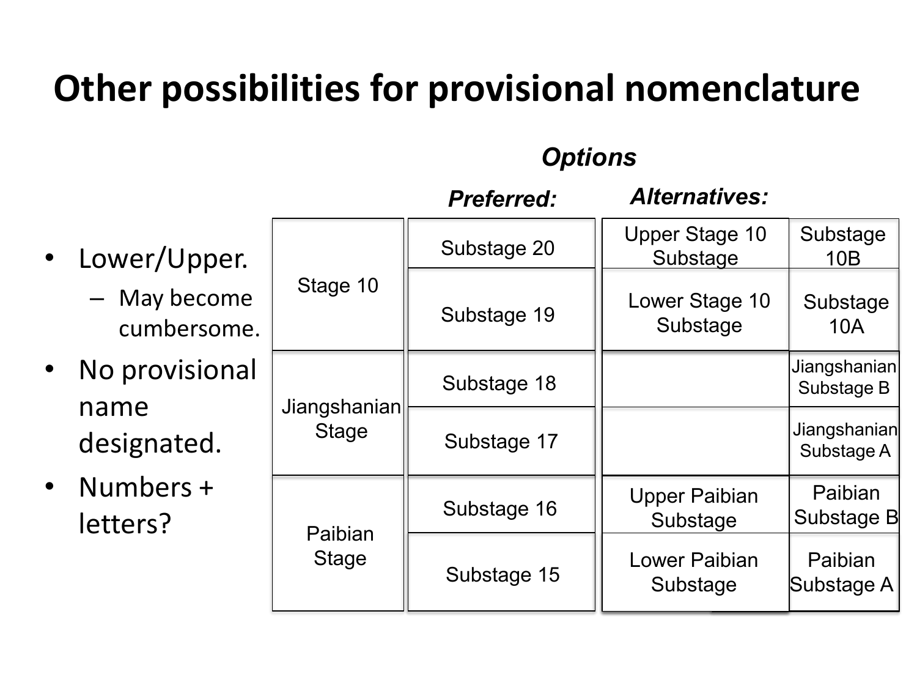### **Other possibilities for provisional nomenclature**

#### *Options*

|                                    |                              | <b>Preferred:</b> | <b>Alternatives:</b>              |                            |
|------------------------------------|------------------------------|-------------------|-----------------------------------|----------------------------|
| Lower/Upper.<br>$\bullet$          |                              | Substage 20       | <b>Upper Stage 10</b><br>Substage | Substage<br>10B            |
| - May become<br>cumbersome.        | Stage 10                     | Substage 19       | Lower Stage 10<br>Substage        | Substage<br>10A            |
| No provisional<br>$\bullet$        |                              | Substage 18       |                                   | Jiangshanian<br>Substage B |
| name<br>designated.                | Jiangshanian<br><b>Stage</b> | Substage 17       |                                   | Jiangshanian<br>Substage A |
| Numbers +<br>$\bullet$<br>letters? | Paibian                      | Substage 16       | <b>Upper Paibian</b><br>Substage  | Paibian<br>Substage B      |
|                                    | <b>Stage</b>                 | Substage 15       | Lower Paibian<br>Substage         | Paibian<br>Substage A      |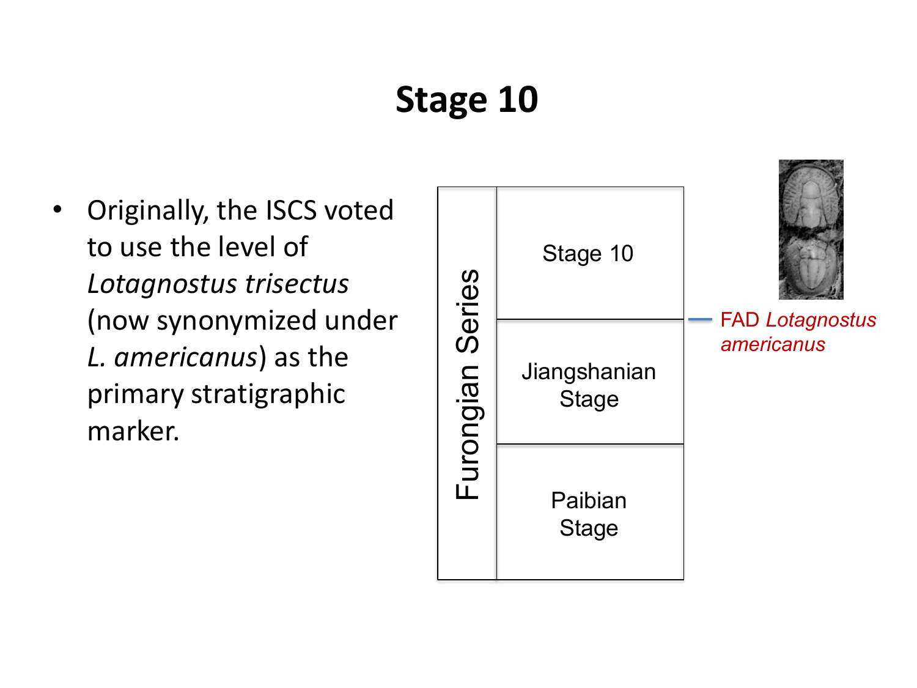## **Stage 10**

• Originally, the ISCS voted to use the level of *Lotagnostus trisectus* (now synonymized under *L. americanus*) as the primary stratigraphic marker.

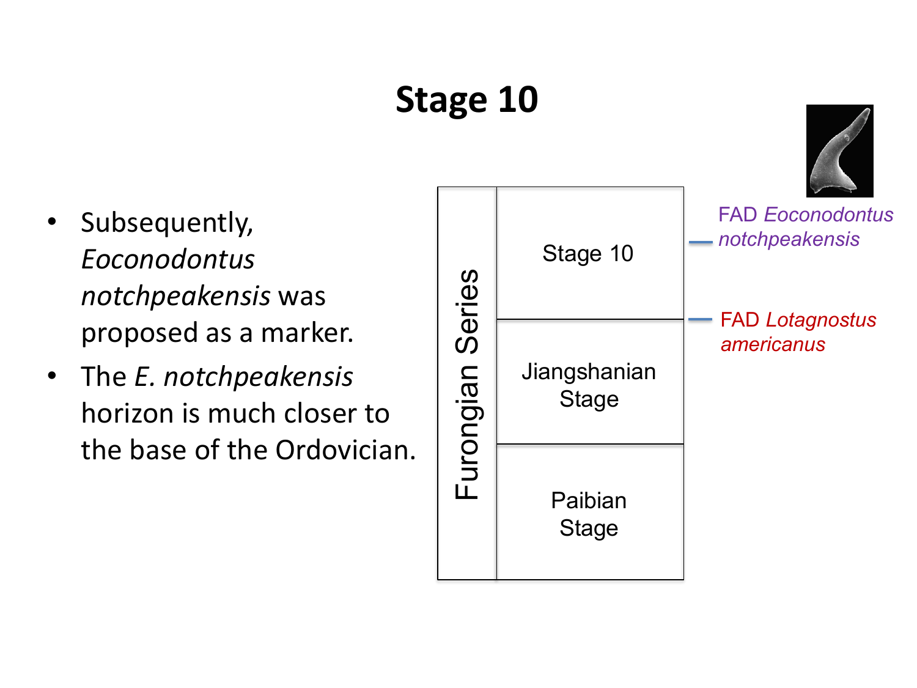# **Stage 10**

- Subsequently, *Eoconodontus notchpeakensis* was proposed as a marker.
- The *E. notchpeakensis* horizon is much closer to the base of the Ordovician.

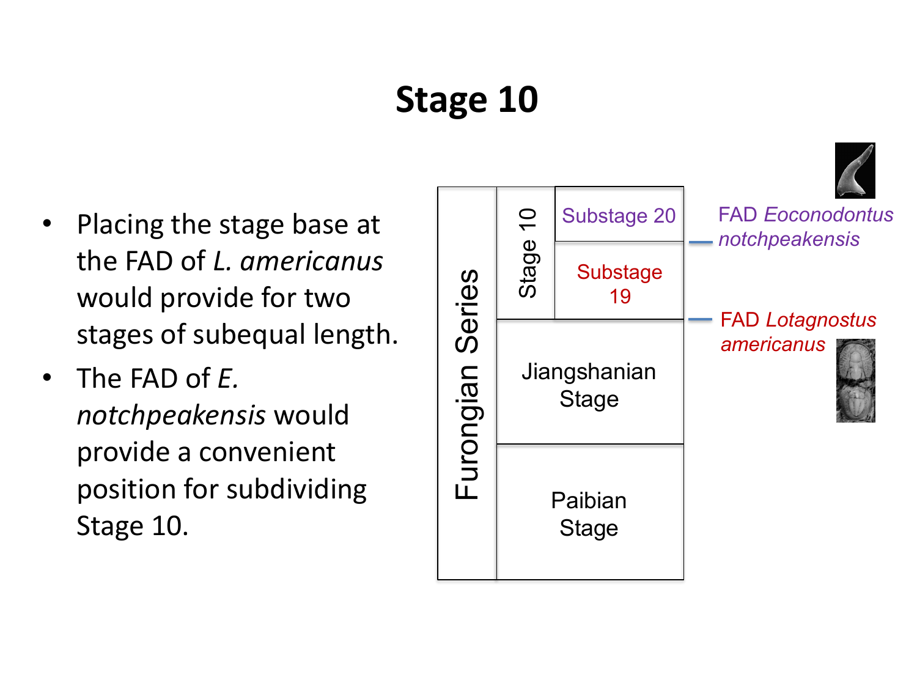## **Stage 10**

- Placing the stage base at the FAD of *L. americanus* would provide for two stages of subequal length.
- The FAD of *E. notchpeakensis* would provide a convenient position for subdividing Stage 10.

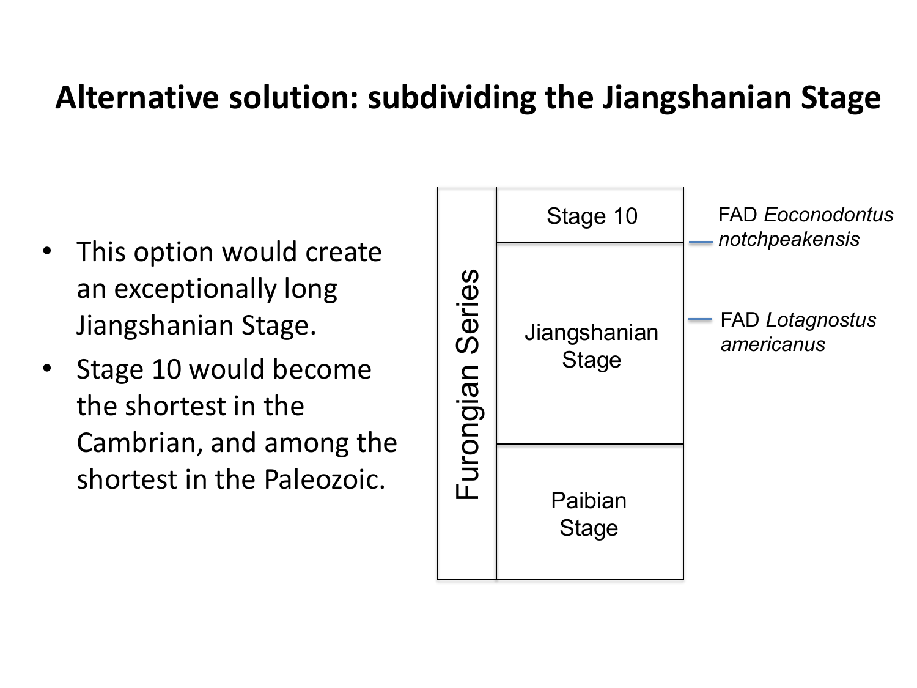#### **Alternative solution: subdividing the Jiangshanian Stage**

- This option would create an exceptionally long Jiangshanian Stage.
- Stage 10 would become the shortest in the Cambrian, and among the shortest in the Paleozoic.

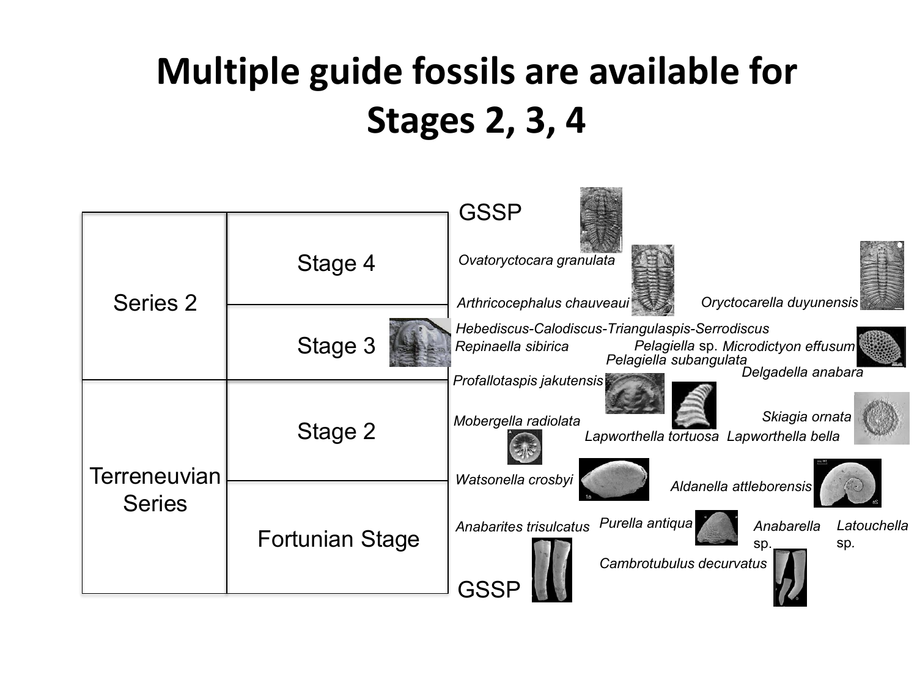## **Multiple guide fossils are available for Stages 2, 3, 4**

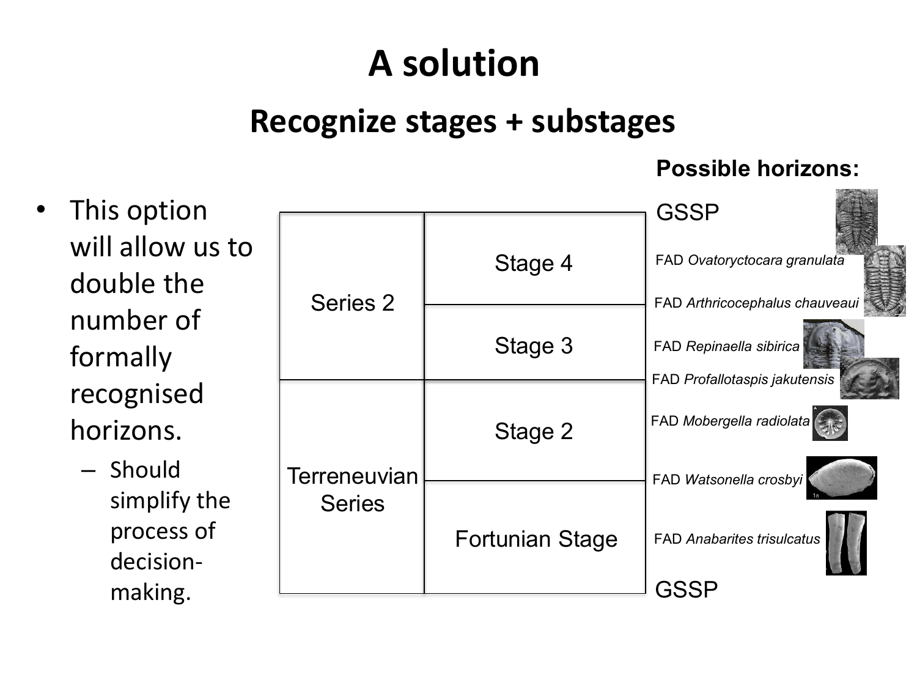## **A solution**

#### **Recognize stages + substages**

#### **Possible horizons:**

• This option will allow us to double the number of formally recognised horizons.

> – Should simplify the process of decisionmaking.

|                               |                 | GSSP                                                                                       |
|-------------------------------|-----------------|--------------------------------------------------------------------------------------------|
| Series 2                      | Stage 4         | FAD Ovatoryctocara granulata                                                               |
|                               | Stage 3         | FAD Arthricocephalus chauveaui<br>FAD Repinaella sibirica<br>FAD Profallotaspis jakutensis |
|                               | Stage 2         | FAD Mobergella radiolata                                                                   |
| Terreneuvian<br><b>Series</b> |                 | FAD Watsonella crosbyi                                                                     |
|                               | Fortunian Stage | <b>FAD Anabarites trisulcatus</b>                                                          |
|                               |                 |                                                                                            |